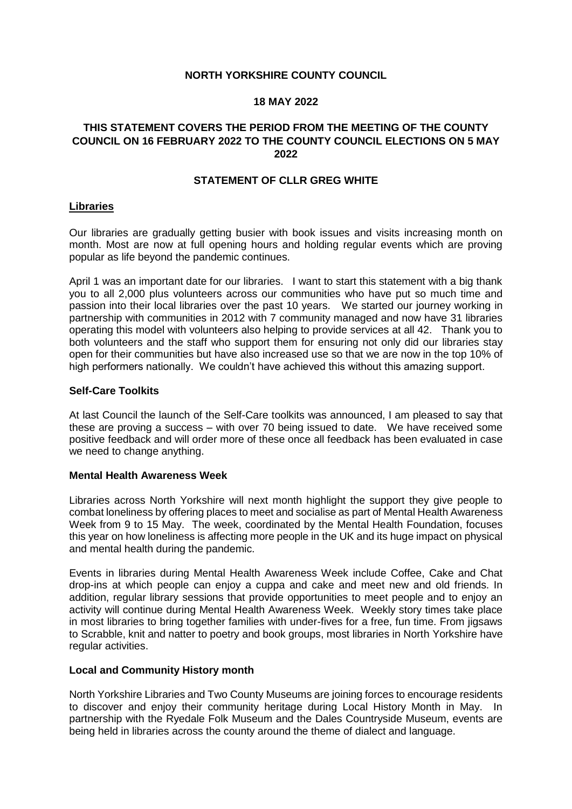### **NORTH YORKSHIRE COUNTY COUNCIL**

#### **18 MAY 2022**

## **THIS STATEMENT COVERS THE PERIOD FROM THE MEETING OF THE COUNTY COUNCIL ON 16 FEBRUARY 2022 TO THE COUNTY COUNCIL ELECTIONS ON 5 MAY 2022**

### **STATEMENT OF CLLR GREG WHITE**

#### **Libraries**

Our libraries are gradually getting busier with book issues and visits increasing month on month. Most are now at full opening hours and holding regular events which are proving popular as life beyond the pandemic continues.

April 1 was an important date for our libraries. I want to start this statement with a big thank you to all 2,000 plus volunteers across our communities who have put so much time and passion into their local libraries over the past 10 years. We started our journey working in partnership with communities in 2012 with 7 community managed and now have 31 libraries operating this model with volunteers also helping to provide services at all 42. Thank you to both volunteers and the staff who support them for ensuring not only did our libraries stay open for their communities but have also increased use so that we are now in the top 10% of high performers nationally. We couldn't have achieved this without this amazing support.

#### **Self-Care Toolkits**

At last Council the launch of the Self-Care toolkits was announced, I am pleased to say that these are proving a success – with over 70 being issued to date. We have received some positive feedback and will order more of these once all feedback has been evaluated in case we need to change anything.

#### **Mental Health Awareness Week**

Libraries across North Yorkshire will next month highlight the support they give people to combat loneliness by offering places to meet and socialise as part of Mental Health Awareness Week from 9 to 15 May. The week, coordinated by the Mental Health Foundation, focuses this year on how loneliness is affecting more people in the UK and its huge impact on physical and mental health during the pandemic.

Events in libraries during Mental Health Awareness Week include Coffee, Cake and Chat drop-ins at which people can enjoy a cuppa and cake and meet new and old friends. In addition, regular library sessions that provide opportunities to meet people and to enjoy an activity will continue during Mental Health Awareness Week. Weekly story times take place in most libraries to bring together families with under-fives for a free, fun time. From jigsaws to Scrabble, knit and natter to poetry and book groups, most libraries in North Yorkshire have regular activities.

#### **Local and Community History month**

North Yorkshire Libraries and Two County Museums are joining forces to encourage residents to discover and enjoy their community heritage during Local History Month in May. In partnership with the Ryedale Folk Museum and the Dales Countryside Museum, events are being held in libraries across the county around the theme of dialect and language.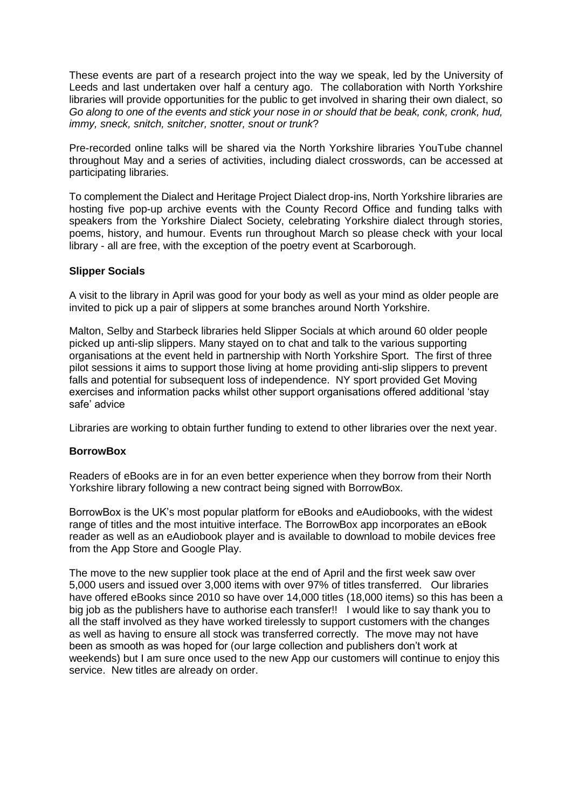These events are part of a research project into the way we speak, led by the University of Leeds and last undertaken over half a century ago. The collaboration with North Yorkshire libraries will provide opportunities for the public to get involved in sharing their own dialect, so *Go along to one of the events and stick your nose in or should that be beak, conk, cronk, hud, immy, sneck, snitch, snitcher, snotter, snout or trunk*?

Pre-recorded online talks will be shared via the North Yorkshire libraries YouTube channel throughout May and a series of activities, including dialect crosswords, can be accessed at participating libraries.

To complement the Dialect and Heritage Project Dialect drop-ins, North Yorkshire libraries are hosting five pop-up archive events with the County Record Office and funding talks with speakers from the Yorkshire Dialect Society, celebrating Yorkshire dialect through stories, poems, history, and humour. Events run throughout March so please check with your local library - all are free, with the exception of the poetry event at Scarborough.

## **Slipper Socials**

A visit to the library in April was good for your body as well as your mind as older people are invited to pick up a pair of slippers at some branches around North Yorkshire.

Malton, Selby and Starbeck libraries held Slipper Socials at which around 60 older people picked up anti-slip slippers. Many stayed on to chat and talk to the various supporting organisations at the event held in partnership with North Yorkshire Sport. The first of three pilot sessions it aims to support those living at home providing anti-slip slippers to prevent falls and potential for subsequent loss of independence. NY sport provided Get Moving exercises and information packs whilst other support organisations offered additional 'stay safe' advice

Libraries are working to obtain further funding to extend to other libraries over the next year.

#### **BorrowBox**

Readers of eBooks are in for an even better experience when they borrow from their North Yorkshire library following a new contract being signed with BorrowBox.

BorrowBox is the UK's most popular platform for eBooks and eAudiobooks, with the widest range of titles and the most intuitive interface. The BorrowBox app incorporates an eBook reader as well as an eAudiobook player and is available to download to mobile devices free from the App Store and Google Play.

The move to the new supplier took place at the end of April and the first week saw over 5,000 users and issued over 3,000 items with over 97% of titles transferred. Our libraries have offered eBooks since 2010 so have over 14,000 titles (18,000 items) so this has been a big job as the publishers have to authorise each transfer!! I would like to say thank you to all the staff involved as they have worked tirelessly to support customers with the changes as well as having to ensure all stock was transferred correctly. The move may not have been as smooth as was hoped for (our large collection and publishers don't work at weekends) but I am sure once used to the new App our customers will continue to enjoy this service. New titles are already on order.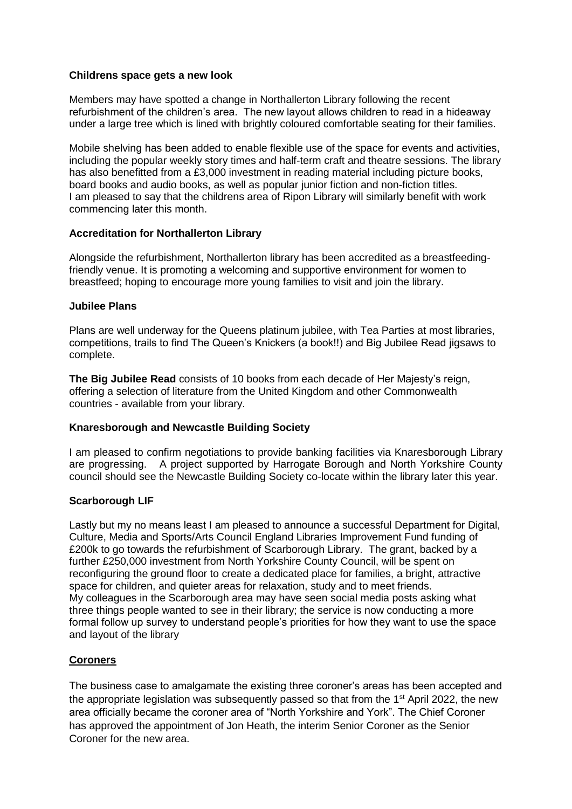## **Childrens space gets a new look**

Members may have spotted a change in Northallerton Library following the recent refurbishment of the children's area. The new layout allows children to read in a hideaway under a large tree which is lined with brightly coloured comfortable seating for their families.

Mobile shelving has been added to enable flexible use of the space for events and activities, including the popular weekly story times and half-term craft and theatre sessions. The library has also benefitted from a £3,000 investment in reading material including picture books, board books and audio books, as well as popular junior fiction and non-fiction titles. I am pleased to say that the childrens area of Ripon Library will similarly benefit with work commencing later this month.

# **Accreditation for Northallerton Library**

Alongside the refurbishment, Northallerton library has been accredited as a breastfeedingfriendly venue. It is promoting a welcoming and supportive environment for women to breastfeed; hoping to encourage more young families to visit and join the library.

## **Jubilee Plans**

Plans are well underway for the Queens platinum jubilee, with Tea Parties at most libraries, competitions, trails to find The Queen's Knickers (a book!!) and Big Jubilee Read jigsaws to complete.

**The Big Jubilee Read** consists of 10 books from each decade of Her Majesty's reign, offering a selection of literature from the United Kingdom and other Commonwealth countries - available from your library.

## **Knaresborough and Newcastle Building Society**

I am pleased to confirm negotiations to provide banking facilities via Knaresborough Library are progressing. A project supported by Harrogate Borough and North Yorkshire County council should see the Newcastle Building Society co-locate within the library later this year.

## **Scarborough LIF**

Lastly but my no means least I am pleased to announce a successful Department for Digital, Culture, Media and Sports/Arts Council England Libraries Improvement Fund funding of £200k to go towards the refurbishment of Scarborough Library. The grant, backed by a further £250,000 investment from North Yorkshire County Council, will be spent on reconfiguring the ground floor to create a dedicated place for families, a bright, attractive space for children, and quieter areas for relaxation, study and to meet friends. My colleagues in the Scarborough area may have seen social media posts asking what three things people wanted to see in their library; the service is now conducting a more formal follow up survey to understand people's priorities for how they want to use the space and layout of the library

# **Coroners**

The business case to amalgamate the existing three coroner's areas has been accepted and the appropriate legislation was subsequently passed so that from the 1<sup>st</sup> April 2022, the new area officially became the coroner area of "North Yorkshire and York". The Chief Coroner has approved the appointment of Jon Heath, the interim Senior Coroner as the Senior Coroner for the new area.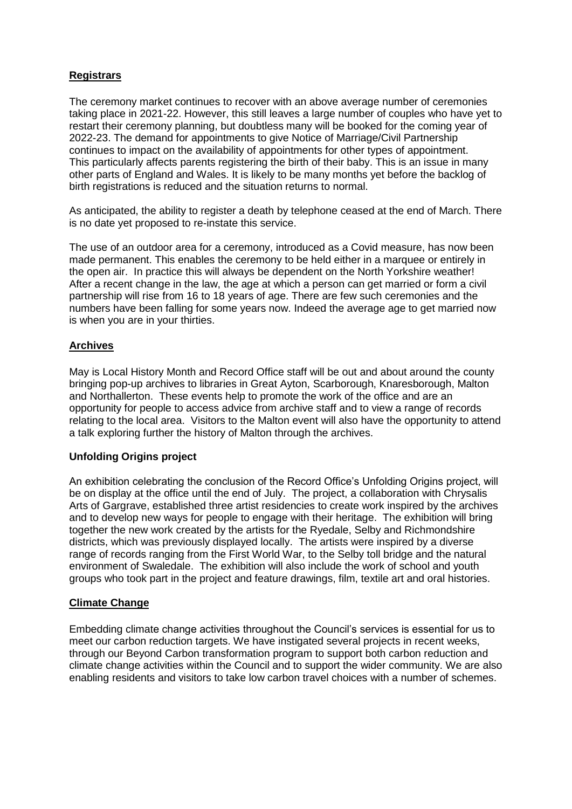# **Registrars**

The ceremony market continues to recover with an above average number of ceremonies taking place in 2021-22. However, this still leaves a large number of couples who have yet to restart their ceremony planning, but doubtless many will be booked for the coming year of 2022-23. The demand for appointments to give Notice of Marriage/Civil Partnership continues to impact on the availability of appointments for other types of appointment. This particularly affects parents registering the birth of their baby. This is an issue in many other parts of England and Wales. It is likely to be many months yet before the backlog of birth registrations is reduced and the situation returns to normal.

As anticipated, the ability to register a death by telephone ceased at the end of March. There is no date yet proposed to re-instate this service.

The use of an outdoor area for a ceremony, introduced as a Covid measure, has now been made permanent. This enables the ceremony to be held either in a marquee or entirely in the open air. In practice this will always be dependent on the North Yorkshire weather! After a recent change in the law, the age at which a person can get married or form a civil partnership will rise from 16 to 18 years of age. There are few such ceremonies and the numbers have been falling for some years now. Indeed the average age to get married now is when you are in your thirties.

# **Archives**

May is Local History Month and Record Office staff will be out and about around the county bringing pop-up archives to libraries in Great Ayton, Scarborough, Knaresborough, Malton and Northallerton. These events help to promote the work of the office and are an opportunity for people to access advice from archive staff and to view a range of records relating to the local area. Visitors to the Malton event will also have the opportunity to attend a talk exploring further the history of Malton through the archives.

## **Unfolding Origins project**

An exhibition celebrating the conclusion of the Record Office's Unfolding Origins project, will be on display at the office until the end of July. The project, a collaboration with Chrysalis Arts of Gargrave, established three artist residencies to create work inspired by the archives and to develop new ways for people to engage with their heritage. The exhibition will bring together the new work created by the artists for the Ryedale, Selby and Richmondshire districts, which was previously displayed locally. The artists were inspired by a diverse range of records ranging from the First World War, to the Selby toll bridge and the natural environment of Swaledale. The exhibition will also include the work of school and youth groups who took part in the project and feature drawings, film, textile art and oral histories.

## **Climate Change**

Embedding climate change activities throughout the Council's services is essential for us to meet our carbon reduction targets. We have instigated several projects in recent weeks, through our Beyond Carbon transformation program to support both carbon reduction and climate change activities within the Council and to support the wider community. We are also enabling residents and visitors to take low carbon travel choices with a number of schemes.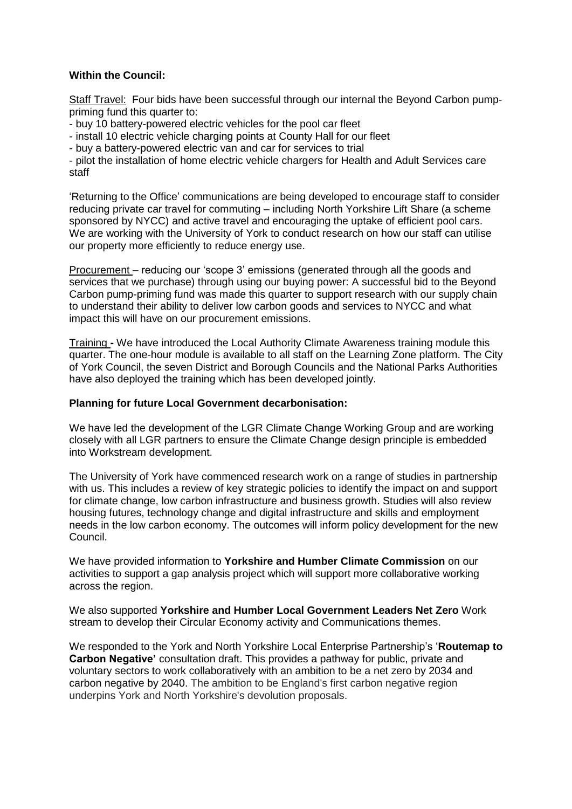# **Within the Council:**

Staff Travel: Four bids have been successful through our internal the Beyond Carbon pumppriming fund this quarter to:

- buy 10 battery-powered electric vehicles for the pool car fleet

- install 10 electric vehicle charging points at County Hall for our fleet

- buy a battery-powered electric van and car for services to trial

- pilot the installation of home electric vehicle chargers for Health and Adult Services care staff

'Returning to the Office' communications are being developed to encourage staff to consider reducing private car travel for commuting – including North Yorkshire Lift Share (a scheme sponsored by NYCC) and active travel and encouraging the uptake of efficient pool cars. We are working with the University of York to conduct research on how our staff can utilise our property more efficiently to reduce energy use.

Procurement – reducing our 'scope 3' emissions (generated through all the goods and services that we purchase) through using our buying power: A successful bid to the Beyond Carbon pump-priming fund was made this quarter to support research with our supply chain to understand their ability to deliver low carbon goods and services to NYCC and what impact this will have on our procurement emissions.

Training **-** We have introduced the Local Authority Climate Awareness training module this quarter. The one-hour module is available to all staff on the Learning Zone platform. The City of York Council, the seven District and Borough Councils and the National Parks Authorities have also deployed the training which has been developed jointly.

### **Planning for future Local Government decarbonisation:**

We have led the development of the LGR Climate Change Working Group and are working closely with all LGR partners to ensure the Climate Change design principle is embedded into Workstream development.

The University of York have commenced research work on a range of studies in partnership with us. This includes a review of key strategic policies to identify the impact on and support for climate change, low carbon infrastructure and business growth. Studies will also review housing futures, technology change and digital infrastructure and skills and employment needs in the low carbon economy. The outcomes will inform policy development for the new Council.

We have provided information to **Yorkshire and Humber Climate Commission** on our activities to support a gap analysis project which will support more collaborative working across the region.

We also supported **Yorkshire and Humber Local Government Leaders Net Zero** Work stream to develop their Circular Economy activity and Communications themes.

We responded to the York and North Yorkshire Local Enterprise Partnership's '**Routemap to Carbon Negative'** consultation draft. This provides a pathway for public, private and voluntary sectors to work collaboratively with an ambition to be a net zero by 2034 and carbon negative by 2040. The ambition to be England's first carbon negative region underpins York and North Yorkshire's devolution proposals.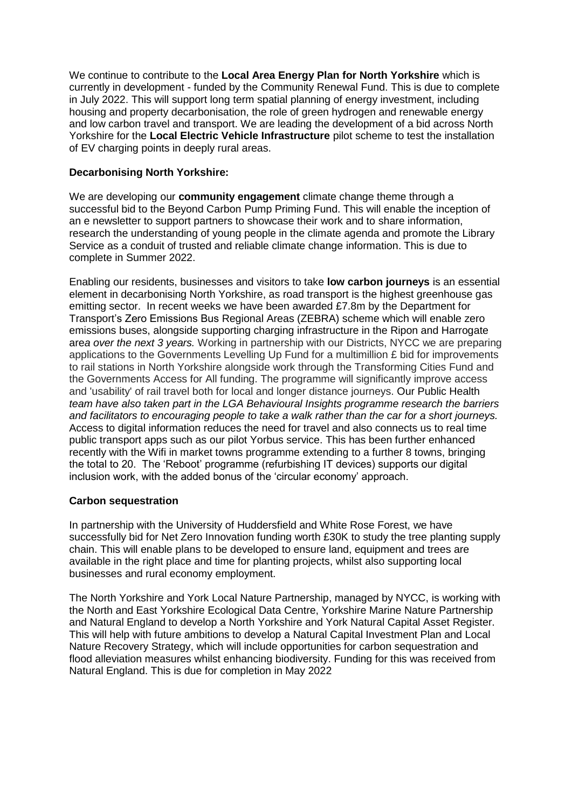We continue to contribute to the **Local Area Energy Plan for North Yorkshire** which is currently in development - funded by the Community Renewal Fund. This is due to complete in July 2022. This will support long term spatial planning of energy investment, including housing and property decarbonisation, the role of green hydrogen and renewable energy and low carbon travel and transport. We are leading the development of a bid across North Yorkshire for the **Local Electric Vehicle Infrastructure** pilot scheme to test the installation of EV charging points in deeply rural areas.

# **Decarbonising North Yorkshire:**

We are developing our **community engagement** climate change theme through a successful bid to the Beyond Carbon Pump Priming Fund. This will enable the inception of an e newsletter to support partners to showcase their work and to share information, research the understanding of young people in the climate agenda and promote the Library Service as a conduit of trusted and reliable climate change information. This is due to complete in Summer 2022.

Enabling our residents, businesses and visitors to take **low carbon journeys** is an essential element in decarbonising North Yorkshire, as road transport is the highest greenhouse gas emitting sector. In recent weeks we have been awarded  $£7.8m$  by the Department for Transport's Zero Emissions Bus Regional Areas (ZEBRA) scheme which will enable zero emissions buses, alongside supporting charging infrastructure in the Ripon and Harrogate are*a over the next 3 years.* Working in partnership with our Districts, NYCC we are preparing applications to the Governments Levelling Up Fund for a multimillion £ bid for improvements to rail stations in North Yorkshire alongside work through the Transforming Cities Fund and the Governments Access for All funding. The programme will significantly improve access and 'usability' of rail travel both for local and longer distance journeys. Our Public Health *team have also taken part in the LGA Behavioural Insights programme research the barriers and facilitators to encouraging people to take a walk rather than the car for a short journeys.*  Access to digital information reduces the need for travel and also connects us to real time public transport apps such as our pilot Yorbus service. This has been further enhanced recently with the Wifi in market towns programme extending to a further 8 towns, bringing the total to 20. The 'Reboot' programme (refurbishing IT devices) supports our digital inclusion work, with the added bonus of the 'circular economy' approach.

## **Carbon sequestration**

In partnership with the University of Huddersfield and White Rose Forest, we have successfully bid for Net Zero Innovation funding worth £30K to study the tree planting supply chain. This will enable plans to be developed to ensure land, equipment and trees are available in the right place and time for planting projects, whilst also supporting local businesses and rural economy employment.

The North Yorkshire and York Local Nature Partnership, managed by NYCC, is working with the North and East Yorkshire Ecological Data Centre, Yorkshire Marine Nature Partnership and Natural England to develop a North Yorkshire and York Natural Capital Asset Register. This will help with future ambitions to develop a Natural Capital Investment Plan and Local Nature Recovery Strategy, which will include opportunities for carbon sequestration and flood alleviation measures whilst enhancing biodiversity. Funding for this was received from Natural England. This is due for completion in May 2022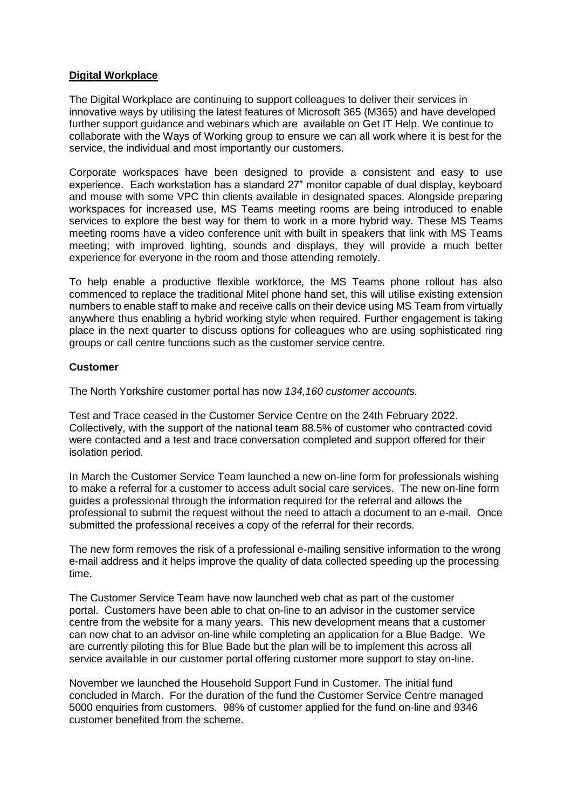## **Digital Workplace**

The Digital Workplace are continuing to support colleagues to deliver their services in innovative ways by utilising the latest features of Microsoft 365 (M365) and have developed further support guidance and webinars which are available on Get IT Help. We continue to collaborate with the Ways of Working group to ensure we can all work where it is best for the service, the individual and most importantly our customers.

Corporate workspaces have been designed to provide a consistent and easy to use experience. Each workstation has a standard 27" monitor capable of dual display, keyboard and mouse with some VPC thin clients available in designated spaces. Alongside preparing workspaces for increased use, MS Teams meeting rooms are being introduced to enable services to explore the best way for them to work in a more hybrid way. These MS Teams meeting rooms have a video conference unit with built in speakers that link with MS Teams meeting; with improved lighting, sounds and displays, they will provide a much better experience for everyone in the room and those attending remotely.

To help enable a productive flexible workforce, the MS Teams phone rollout has also commenced to replace the traditional Mitel phone hand set, this will utilise existing extension numbers to enable staff to make and receive calls on their device using MS Team from virtually anywhere thus enabling a hybrid working style when required. Further engagement is taking place in the next quarter to discuss options for colleagues who are using sophisticated ring groups or call centre functions such as the customer service centre.

## **Customer**

The North Yorkshire customer portal has now *134,160 customer accounts.*

Test and Trace ceased in the Customer Service Centre on the 24th February 2022. Collectively, with the support of the national team 88.5% of customer who contracted covid were contacted and a test and trace conversation completed and support offered for their isolation period.

In March the Customer Service Team launched a new on-line form for professionals wishing to make a referral for a customer to access adult social care services. The new on-line form guides a professional through the information required for the referral and allows the professional to submit the request without the need to attach a document to an e-mail. Once submitted the professional receives a copy of the referral for their records.

The new form removes the risk of a professional e-mailing sensitive information to the wrong e-mail address and it helps improve the quality of data collected speeding up the processing time.

The Customer Service Team have now launched web chat as part of the customer portal. Customers have been able to chat on-line to an advisor in the customer service centre from the website for a many years. This new development means that a customer can now chat to an advisor on-line while completing an application for a Blue Badge. We are currently piloting this for Blue Bade but the plan will be to implement this across all service available in our customer portal offering customer more support to stay on-line.

November we launched the Household Support Fund in Customer. The initial fund concluded in March. For the duration of the fund the Customer Service Centre managed 5000 enquiries from customers. 98% of customer applied for the fund on-line and 9346 customer benefited from the scheme.